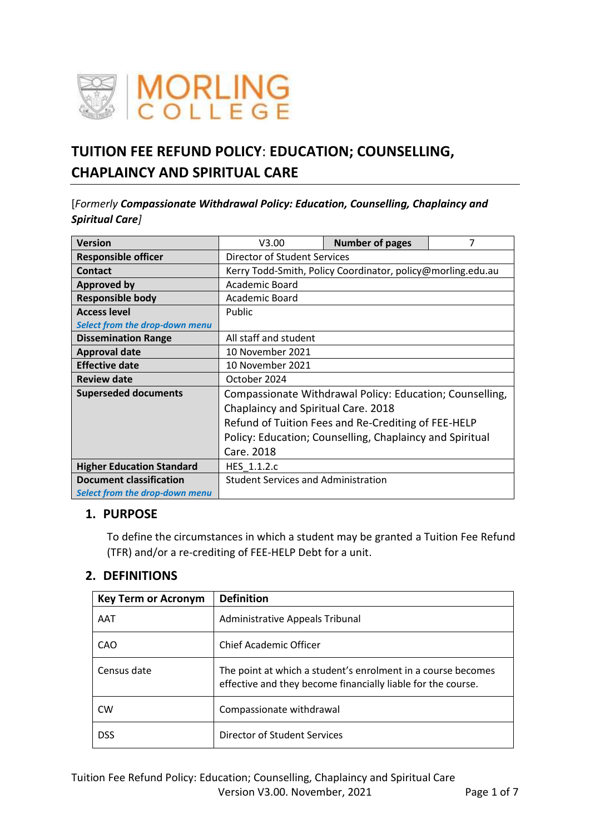

# **TUITION FEE REFUND POLICY**: **EDUCATION; COUNSELLING, CHAPLAINCY AND SPIRITUAL CARE**

[*Formerly Compassionate Withdrawal Policy: Education, Counselling, Chaplaincy and Spiritual Care]*

| <b>Version</b>                   | V3.00                                                       | <b>Number of pages</b>                                   | 7 |
|----------------------------------|-------------------------------------------------------------|----------------------------------------------------------|---|
| <b>Responsible officer</b>       | Director of Student Services                                |                                                          |   |
| Contact                          | Kerry Todd-Smith, Policy Coordinator, policy@morling.edu.au |                                                          |   |
| <b>Approved by</b>               | Academic Board                                              |                                                          |   |
| <b>Responsible body</b>          | Academic Board                                              |                                                          |   |
| <b>Access level</b>              | Public                                                      |                                                          |   |
| Select from the drop-down menu   |                                                             |                                                          |   |
| <b>Dissemination Range</b>       | All staff and student                                       |                                                          |   |
| <b>Approval date</b>             | 10 November 2021                                            |                                                          |   |
| <b>Effective date</b>            | 10 November 2021                                            |                                                          |   |
| <b>Review date</b>               | October 2024                                                |                                                          |   |
| <b>Superseded documents</b>      |                                                             | Compassionate Withdrawal Policy: Education; Counselling, |   |
|                                  | Chaplaincy and Spiritual Care. 2018                         |                                                          |   |
|                                  | Refund of Tuition Fees and Re-Crediting of FEE-HELP         |                                                          |   |
|                                  | Policy: Education; Counselling, Chaplaincy and Spiritual    |                                                          |   |
|                                  | Care. 2018                                                  |                                                          |   |
| <b>Higher Education Standard</b> | HES 1.1.2.c                                                 |                                                          |   |
| <b>Document classification</b>   | <b>Student Services and Administration</b>                  |                                                          |   |
| Select from the drop-down menu   |                                                             |                                                          |   |

# **1. PURPOSE**

To define the circumstances in which a student may be granted a Tuition Fee Refund (TFR) and/or a re-crediting of FEE-HELP Debt for a unit.

# **2. DEFINITIONS**

| <b>Key Term or Acronym</b> | <b>Definition</b>                                                                                                            |
|----------------------------|------------------------------------------------------------------------------------------------------------------------------|
| AAT                        | Administrative Appeals Tribunal                                                                                              |
| CAO                        | <b>Chief Academic Officer</b>                                                                                                |
| Census date                | The point at which a student's enrolment in a course becomes<br>effective and they become financially liable for the course. |
| <b>CW</b>                  | Compassionate withdrawal                                                                                                     |
| <b>DSS</b>                 | Director of Student Services                                                                                                 |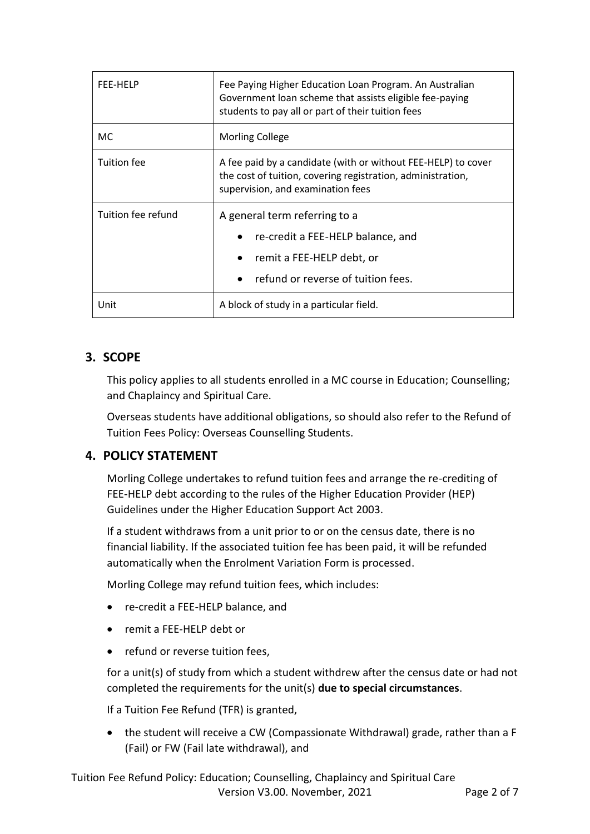| FEE-HELP           | Fee Paying Higher Education Loan Program. An Australian<br>Government loan scheme that assists eligible fee-paying<br>students to pay all or part of their tuition fees |  |  |
|--------------------|-------------------------------------------------------------------------------------------------------------------------------------------------------------------------|--|--|
| МC                 | <b>Morling College</b>                                                                                                                                                  |  |  |
| <b>Tuition fee</b> | A fee paid by a candidate (with or without FEE-HELP) to cover<br>the cost of tuition, covering registration, administration,<br>supervision, and examination fees       |  |  |
| Tuition fee refund | A general term referring to a<br>re-credit a FEE-HELP balance, and<br>remit a FEE-HELP debt, or<br>$\bullet$<br>refund or reverse of tuition fees.                      |  |  |
| Unit               | A block of study in a particular field.                                                                                                                                 |  |  |

# **3. SCOPE**

This policy applies to all students enrolled in a MC course in Education; Counselling; and Chaplaincy and Spiritual Care.

Overseas students have additional obligations, so should also refer to the Refund of Tuition Fees Policy: Overseas Counselling Students.

# **4. POLICY STATEMENT**

Morling College undertakes to refund tuition fees and arrange the re-crediting of FEE-HELP debt according to the rules of the Higher Education Provider (HEP) Guidelines under the Higher Education Support Act 2003.

If a student withdraws from a unit prior to or on the census date, there is no financial liability. If the associated tuition fee has been paid, it will be refunded automatically when the Enrolment Variation Form is processed.

Morling College may refund tuition fees, which includes:

- re-credit a FEE-HELP balance, and
- remit a FEE-HELP debt or
- refund or reverse tuition fees,

for a unit(s) of study from which a student withdrew after the census date or had not completed the requirements for the unit(s) **due to special circumstances**.

If a Tuition Fee Refund (TFR) is granted,

• the student will receive a CW (Compassionate Withdrawal) grade, rather than a F (Fail) or FW (Fail late withdrawal), and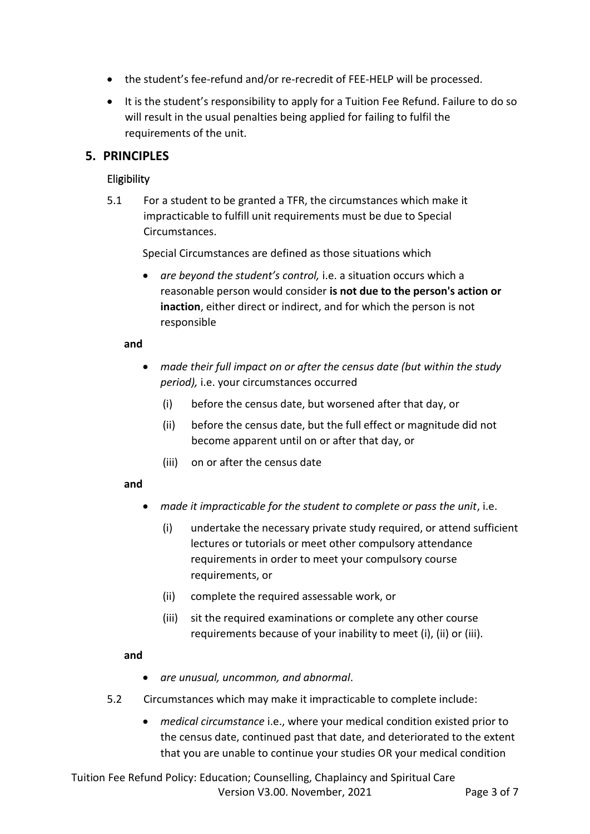- the student's fee-refund and/or re-recredit of FEE-HELP will be processed.
- It is the student's responsibility to apply for a Tuition Fee Refund. Failure to do so will result in the usual penalties being applied for failing to fulfil the requirements of the unit.

# **5. PRINCIPLES**

### Eligibility

5.1 For a student to be granted a TFR, the circumstances which make it impracticable to fulfill unit requirements must be due to Special Circumstances.

Special Circumstances are defined as those situations which

• *are beyond the student's control,* i.e. a situation occurs which a reasonable person would consider **is not due to the person's action or inaction**, either direct or indirect, and for which the person is not responsible

#### **and**

- *made their full impact on or after the census date (but within the study period),* i.e. your circumstances occurred
	- (i) before the census date, but worsened after that day, or
	- (ii) before the census date, but the full effect or magnitude did not become apparent until on or after that day, or
	- (iii) on or after the census date

#### **and**

- *made it impracticable for the student to complete or pass the unit*, i.e.
	- (i) undertake the necessary private study required, or attend sufficient lectures or tutorials or meet other compulsory attendance requirements in order to meet your compulsory course requirements, or
	- (ii) complete the required assessable work, or
	- (iii) sit the required examinations or complete any other course requirements because of your inability to meet (i), (ii) or (iii).

#### **and**

- *are unusual, uncommon, and abnormal*.
- 5.2 Circumstances which may make it impracticable to complete include:
	- *medical circumstance* i.e., where your medical condition existed prior to the census date, continued past that date, and deteriorated to the extent that you are unable to continue your studies OR your medical condition

Tuition Fee Refund Policy: Education; Counselling, Chaplaincy and Spiritual Care Version V3.00. November, 2021 Page 3 of 7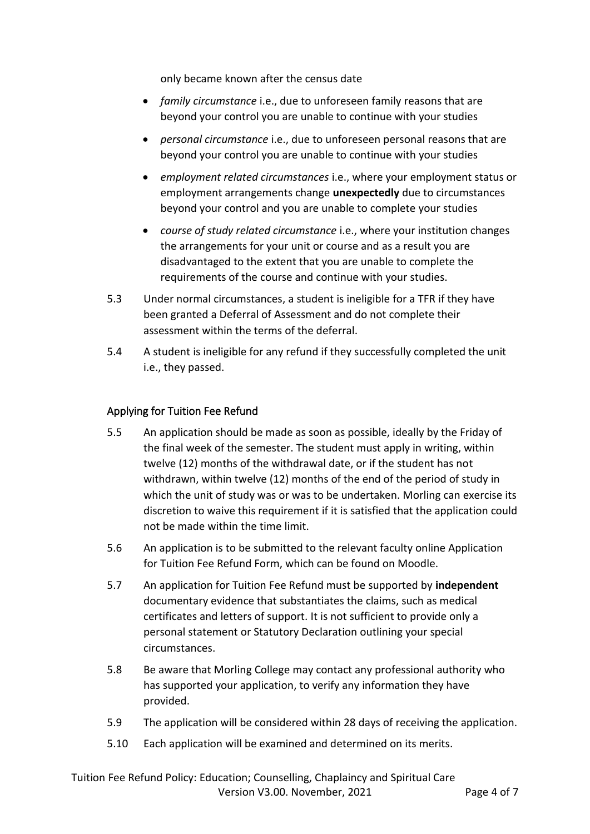only became known after the census date

- *family circumstance* i.e., due to unforeseen family reasons that are beyond your control you are unable to continue with your studies
- *personal circumstance* i.e., due to unforeseen personal reasons that are beyond your control you are unable to continue with your studies
- *employment related circumstances* i.e., where your employment status or employment arrangements change **unexpectedly** due to circumstances beyond your control and you are unable to complete your studies
- *course of study related circumstance* i.e., where your institution changes the arrangements for your unit or course and as a result you are disadvantaged to the extent that you are unable to complete the requirements of the course and continue with your studies.
- 5.3 Under normal circumstances, a student is ineligible for a TFR if they have been granted a Deferral of Assessment and do not complete their assessment within the terms of the deferral.
- 5.4 A student is ineligible for any refund if they successfully completed the unit i.e., they passed.

# Applying for Tuition Fee Refund

- 5.5 An application should be made as soon as possible, ideally by the Friday of the final week of the semester. The student must apply in writing, within twelve (12) months of the withdrawal date, or if the student has not withdrawn, within twelve (12) months of the end of the period of study in which the unit of study was or was to be undertaken. Morling can exercise its discretion to waive this requirement if it is satisfied that the application could not be made within the time limit.
- 5.6 An application is to be submitted to the relevant faculty online Application for Tuition Fee Refund Form, which can be found on Moodle.
- 5.7 An application for Tuition Fee Refund must be supported by **independent** documentary evidence that substantiates the claims, such as medical certificates and letters of support. It is not sufficient to provide only a personal statement or Statutory Declaration outlining your special circumstances.
- 5.8 Be aware that Morling College may contact any professional authority who has supported your application, to verify any information they have provided.
- 5.9 The application will be considered within 28 days of receiving the application.
- 5.10 Each application will be examined and determined on its merits.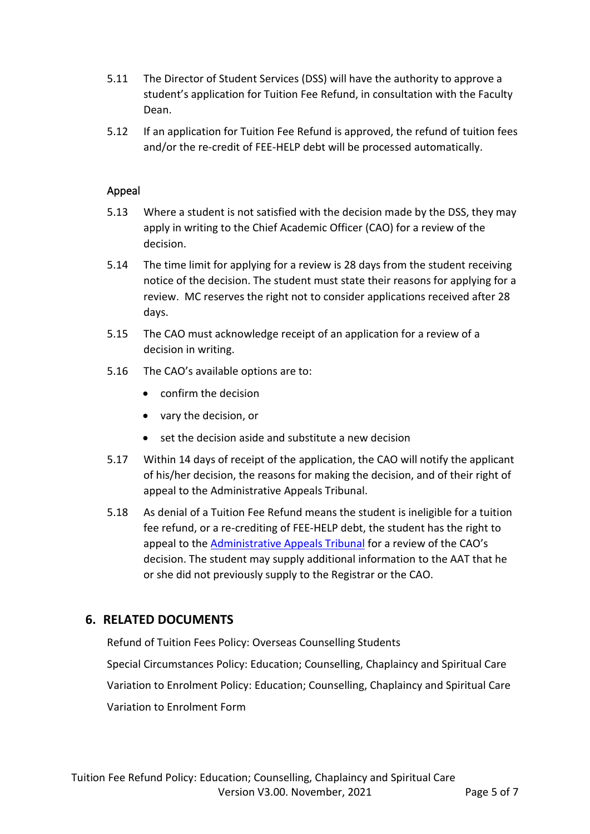- 5.11 The Director of Student Services (DSS) will have the authority to approve a student's application for Tuition Fee Refund, in consultation with the Faculty Dean.
- 5.12 If an application for Tuition Fee Refund is approved, the refund of tuition fees and/or the re-credit of FEE-HELP debt will be processed automatically.

### Appeal

- 5.13 Where a student is not satisfied with the decision made by the DSS, they may apply in writing to the Chief Academic Officer (CAO) for a review of the decision.
- 5.14 The time limit for applying for a review is 28 days from the student receiving notice of the decision. The student must state their reasons for applying for a review. MC reserves the right not to consider applications received after 28 days.
- 5.15 The CAO must acknowledge receipt of an application for a review of a decision in writing.
- 5.16 The CAO's available options are to:
	- confirm the decision
	- vary the decision, or
	- set the decision aside and substitute a new decision
- 5.17 Within 14 days of receipt of the application, the CAO will notify the applicant of his/her decision, the reasons for making the decision, and of their right of appeal to the Administrative Appeals Tribunal.
- 5.18 As denial of a Tuition Fee Refund means the student is ineligible for a tuition fee refund, or a re-crediting of FEE-HELP debt, the student has the right to appeal to the [Administrative Appeals Tribunal](http://www.aat.gov.au/contact-us) for a review of the CAO's decision. The student may supply additional information to the AAT that he or she did not previously supply to the Registrar or the CAO.

# **6. RELATED DOCUMENTS**

Refund of Tuition Fees Policy: Overseas Counselling Students Special Circumstances Policy: Education; Counselling, Chaplaincy and Spiritual Care [Variation to Enrolment Policy:](file:///G:/Shared%20drives/Shared%20data/Policies/Student%20Policies/Variation%20to%20Enrolment%20Policy%20E%20CCSC%20Oct%202018.pdf) Education; Counselling, Chaplaincy and Spiritual Care Variation to Enrolment Form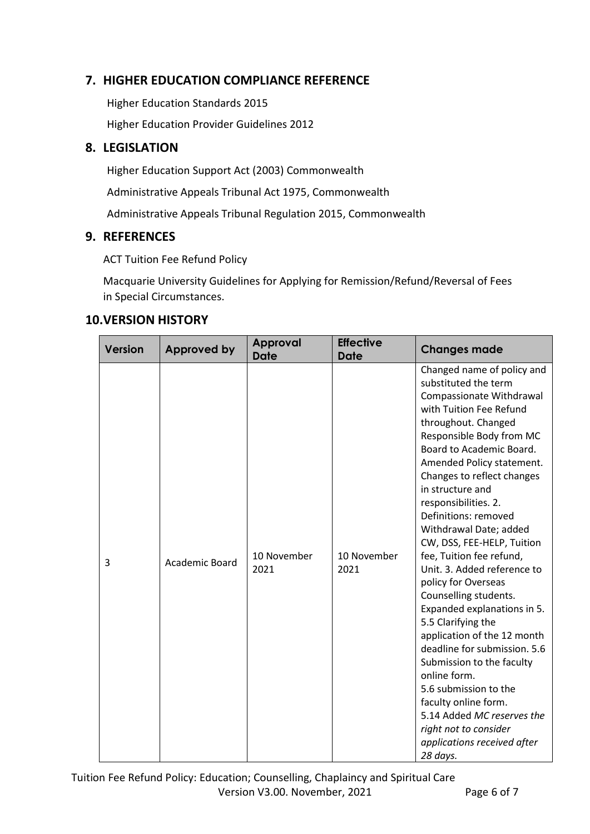# **7. HIGHER EDUCATION COMPLIANCE REFERENCE**

Higher Education Standards 2015 Higher Education Provider Guidelines 2012

# **8. LEGISLATION**

Higher Education Support Act (2003) Commonwealth [Administrative Appeals Tribunal Act 1975,](https://www.legislation.gov.au/Details/C2017C00107) Commonwealth [Administrative Appeals Tribunal Regulation 2015,](https://www.legislation.gov.au/Details/F2018C00488) Commonwealth

### **9. REFERENCES**

ACT Tuition Fee Refund Policy

Macquarie University Guidelines for Applying for Remission/Refund/Reversal of Fees in Special Circumstances.

### **10.VERSION HISTORY**

| <b>Version</b> | <b>Approved by</b> | <b>Approval</b><br><b>Date</b> | <b>Effective</b><br><b>Date</b> | <b>Changes made</b>                                                                                                                                                                                                                                                                                                                                                                                                                                                                                                                                                                                                                                                                                                                                                                                            |
|----------------|--------------------|--------------------------------|---------------------------------|----------------------------------------------------------------------------------------------------------------------------------------------------------------------------------------------------------------------------------------------------------------------------------------------------------------------------------------------------------------------------------------------------------------------------------------------------------------------------------------------------------------------------------------------------------------------------------------------------------------------------------------------------------------------------------------------------------------------------------------------------------------------------------------------------------------|
| 3              | Academic Board     | 10 November<br>2021            | 10 November<br>2021             | Changed name of policy and<br>substituted the term<br>Compassionate Withdrawal<br>with Tuition Fee Refund<br>throughout. Changed<br>Responsible Body from MC<br>Board to Academic Board.<br>Amended Policy statement.<br>Changes to reflect changes<br>in structure and<br>responsibilities. 2.<br>Definitions: removed<br>Withdrawal Date; added<br>CW, DSS, FEE-HELP, Tuition<br>fee, Tuition fee refund,<br>Unit. 3. Added reference to<br>policy for Overseas<br>Counselling students.<br>Expanded explanations in 5.<br>5.5 Clarifying the<br>application of the 12 month<br>deadline for submission. 5.6<br>Submission to the faculty<br>online form.<br>5.6 submission to the<br>faculty online form.<br>5.14 Added MC reserves the<br>right not to consider<br>applications received after<br>28 days. |